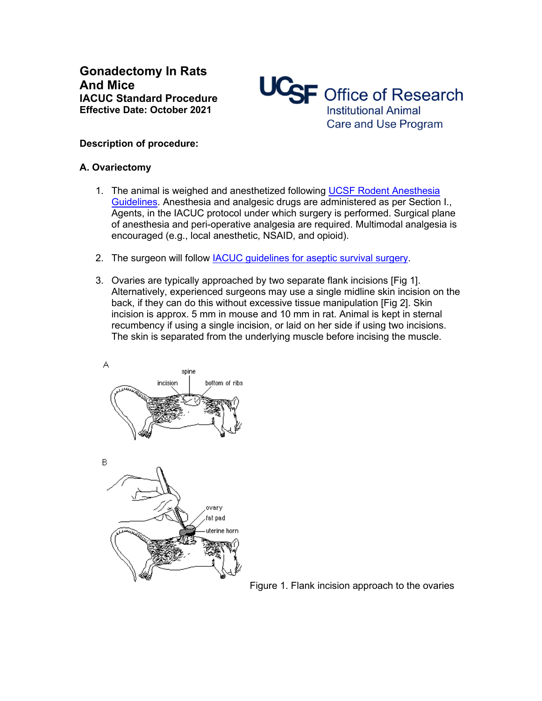**Gonadectomy In Rats And Mice IACUC Standard Procedure Effective Date: October 2021**

UCSF Office of Research **Institutional Animal** Care and Use Program

## **Description of procedure:**

## **A. Ovariectomy**

- 1. The animal is weighed and anesthetized following [UCSF Rodent Anesthesia](https://iacuc.ucsf.edu/sites/g/files/tkssra751/f/wysiwyg/Guideline%20-%20Anesthesia%20-%20Rodents.pdf)  [Guidelines.](https://iacuc.ucsf.edu/sites/g/files/tkssra751/f/wysiwyg/Guideline%20-%20Anesthesia%20-%20Rodents.pdf) Anesthesia and analgesic drugs are administered as per Section I., Agents, in the IACUC protocol under which surgery is performed. Surgical plane of anesthesia and peri-operative analgesia are required. Multimodal analgesia is encouraged (e.g., local anesthetic, NSAID, and opioid).
- 2. The surgeon will follow **IACUC** guidelines for aseptic survival surgery.
- 3. Ovaries are typically approached by two separate flank incisions [Fig 1]. Alternatively, experienced surgeons may use a single midline skin incision on the back, if they can do this without excessive tissue manipulation [Fig 2]. Skin incision is approx. 5 mm in mouse and 10 mm in rat. Animal is kept in sternal recumbency if using a single incision, or laid on her side if using two incisions. The skin is separated from the underlying muscle before incising the muscle.



Figure 1. Flank incision approach to the ovaries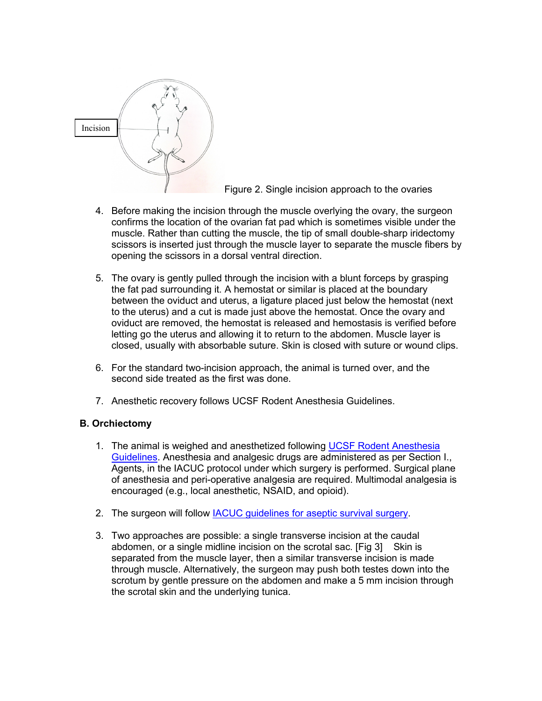

Figure 2. Single incision approach to the ovaries

- 4. Before making the incision through the muscle overlying the ovary, the surgeon confirms the location of the ovarian fat pad which is sometimes visible under the muscle. Rather than cutting the muscle, the tip of small double-sharp iridectomy scissors is inserted just through the muscle layer to separate the muscle fibers by opening the scissors in a dorsal ventral direction.
- 5. The ovary is gently pulled through the incision with a blunt forceps by grasping the fat pad surrounding it. A hemostat or similar is placed at the boundary between the oviduct and uterus, a ligature placed just below the hemostat (next to the uterus) and a cut is made just above the hemostat. Once the ovary and oviduct are removed, the hemostat is released and hemostasis is verified before letting go the uterus and allowing it to return to the abdomen. Muscle layer is closed, usually with absorbable suture. Skin is closed with suture or wound clips.
- 6. For the standard two-incision approach, the animal is turned over, and the second side treated as the first was done.
- 7. Anesthetic recovery follows UCSF Rodent Anesthesia Guidelines.

## **B. Orchiectomy**

- 1. The animal is weighed and anesthetized following [UCSF Rodent Anesthesia](https://iacuc.ucsf.edu/sites/g/files/tkssra751/f/wysiwyg/Guideline%20-%20Anesthesia%20-%20Rodents.pdf)  [Guidelines.](https://iacuc.ucsf.edu/sites/g/files/tkssra751/f/wysiwyg/Guideline%20-%20Anesthesia%20-%20Rodents.pdf) Anesthesia and analgesic drugs are administered as per Section I., Agents, in the IACUC protocol under which surgery is performed. Surgical plane of anesthesia and peri-operative analgesia are required. Multimodal analgesia is encouraged (e.g., local anesthetic, NSAID, and opioid).
- 2. The surgeon will follow [IACUC guidelines for aseptic survival surgery.](https://iacuc.ucsf.edu/sites/g/files/tkssra751/f/wysiwyg/GUIDELINE%20-%20Surgery%20Guidelines%20-%20Rodents%20%285%29.pdf)
- 3. Two approaches are possible: a single transverse incision at the caudal abdomen, or a single midline incision on the scrotal sac. [Fig 3] Skin is separated from the muscle layer, then a similar transverse incision is made through muscle. Alternatively, the surgeon may push both testes down into the scrotum by gentle pressure on the abdomen and make a 5 mm incision through the scrotal skin and the underlying tunica.